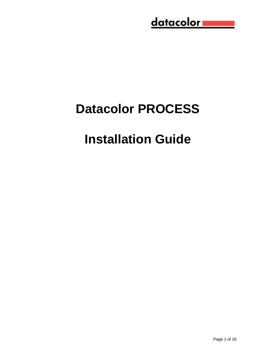## <u>datacolor www.</u>

# **Datacolor PROCESS**

# **Installation Guide**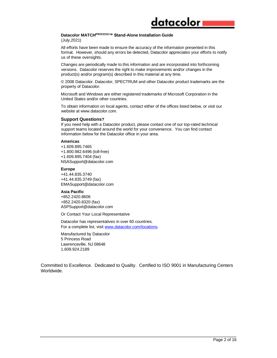### datacolor

#### **Datacolor MATCHPROCESS™ Stand-Alone Installation Guide**

(July,2021)

All efforts have been made to ensure the accuracy of the information presented in this format. However, should any errors be detected, Datacolor appreciates your efforts to notify us of these oversights.

Changes are periodically made to this information and are incorporated into forthcoming versions. Datacolor reserves the right to make improvements and/or changes in the product(s) and/or program(s) described in this material at any time.

© 2008 Datacolor. Datacolor, SPECTRUM and other Datacolor product trademarks are the property of Datacolor.

Microsoft and Windows are either registered trademarks of Microsoft Corporation in the United States and/or other countries.

To obtain information on local agents, contact either of the offices listed below, or visit our website at www.datacolor.com.

#### **Support Questions?**

If you need help with a Datacolor product, please contact one of our top-rated technical support teams located around the world for your convenience. You can find contact information below for the Datacolor office in your area.

#### **Americas**

+1.609.895.7465 +1.800.982.6496 (toll-free) +1.609.895.7404 (fax) NSASupport@datacolor.com

#### **Europe**

+41.44.835.3740 +41.44.835.3749 (fax) EMASupport@datacolor.com

#### **Asia Pacific**

+852.2420.8606 +852.2420.8320 (fax) ASPSupport@datacolor.com

Or Contact Your Local Representative

Datacolor has representatives in over 60 countries. For a complete list, visit [www.datacolor.com/locations.](http://www.datacolor.com/locations)

Manufactured by Datacolor 5 Princess Road Lawrenceville, NJ 08648 1.609.924.2189

Committed to Excellence. Dedicated to Quality. Certified to ISO 9001 in Manufacturing Centers Worldwide.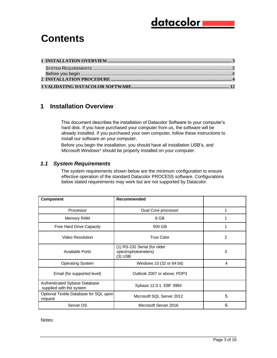### <u>datacolor i</u>

### **Contents**

#### <span id="page-2-0"></span>**1 Installation Overview**

This document describes the installation of Datacolor Software to your computer's hard disk. If you have purchased your computer from us, the software will be already installed. If you purchased your own computer, follow these instructions to install our software on your computer.

Before you begin the installation, you should have all installation USB's, and Microsoft Windows\* should be properly installed on your computer.

#### <span id="page-2-1"></span>*1.1 System Requirements*

The system requirements shown below are the minimum configuration to ensure effective operation of the standard Datacolor PROCESS software. Configurations below stated requirements may work but are not supported by Datacolor.

| <b>Component</b>                                          | Recommended                                                    |                |
|-----------------------------------------------------------|----------------------------------------------------------------|----------------|
| Processor                                                 | Dual Core processor                                            |                |
| Memory RAM                                                | 8 GB                                                           |                |
| Free Hard Drive Capacity                                  | 500 GB                                                         |                |
| Video Resolution                                          | <b>True Color</b>                                              | $\overline{2}$ |
| <b>Available Ports</b>                                    | (1) RS-232 Serial (for older<br>spectrophotometers)<br>(3) USB | 3              |
| <b>Operating System</b>                                   | Windows 10 (32 or 64 bit)                                      | 4              |
| Email (for supported level)                               | Outlook 2007 or above, POP3                                    |                |
| Authenticated Sybase Database<br>supplied with the system | Sybase 12.0.1. EBF 3994                                        |                |
| Optional Textile Database for SQL upon<br>request         | Microsoft SQL Server 2012                                      | 5              |
| Server OS                                                 | Microsoft Server 2016                                          | 6              |

Notes: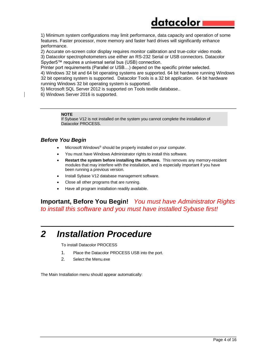### datacolor

1) Minimum system configurations may limit performance, data capacity and operation of some features. Faster processor, more memory and faster hard drives will significantly enhance performance.

2) Accurate on-screen color display requires monitor calibration and true-color video mode.

3) Datacolor spectrophotometers use either an RS-232 Serial or USB connectors. Datacolor Spyder5™ requires a universal serial bus (USB) connection.

Printer port requirements (Parallel or USB…) depend on the specific printer selected.

4) Windows 32 bit and 64 bit operating systems are supported. 64 bit hardware running Windows 32 bit operating system is supported. Datacolor Tools is a 32 bit application. 64 bit hardware running Windows 32 bit operating system is supported.

5) Microsoft SQL Server 2012 is supported on Tools textile database..

6) Windows Server 2016 is supported.

#### **NOTE**

If Sybase V12 is not installed on the system you cannot complete the installation of Datacolor PROCESS.

#### *Before You Begin*

- Microsoft Windows<sup>®</sup> should be properly installed on your computer.
- You must have Windows Administrator rights to install this software.
- **Restart the system before installing the software.** This removes any memory-resident modules that may interfere with the installation, and is especially important if you have been running a previous version.
- Install Sybase V12 database management software.
- Close all other programs that are running.
- Have all program installation readily available.

**Important, Before You Begin!** *You must have Administrator Rights to install this software and you must have installed Sybase first!* 

*\_\_\_\_\_\_\_\_\_\_\_\_\_\_\_\_\_\_\_\_\_\_\_\_\_\_\_\_\_\_\_\_\_\_\_\_\_\_\_\_\_\_\_\_\_\_\_\_\_\_\_\_\_\_\_\_\_\_\_\_\_\_\_\_*

### *2 Installation Procedure*

To install Datacolor PROCESS

- 1. Place the Datacolor PROCESS USB into the port.
- 2. Select the Menu.exe

The Main Installation menu should appear automatically: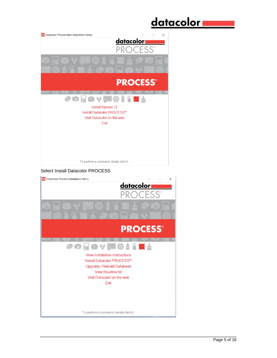

Upgrade / Rebuild Database View Readme.txt Visit Datacolor on the web Exit

To perform a command, simply click it.

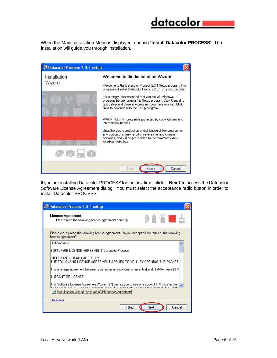# datacolori

When the Main Installation Menu is displayed, choose "**Install Datacolor PROCESS**" The installation will guide you through installation.



If you are installing Datacolor PROCESSfor the first time, click ―**Next**‖ to access the Datacolor Software License Agreement dialog. You must select the acceptance radio button in order to install Datacolor PROCESS

| <b>License Agreement</b><br>Please read the following license agreement carefully.                                                                                                       |  | ma k |
|------------------------------------------------------------------------------------------------------------------------------------------------------------------------------------------|--|------|
| Please closely read the following license agreement. Do you accept all the terms of the following<br>license agreement?                                                                  |  |      |
| <b>ITM-Software</b>                                                                                                                                                                      |  |      |
| SOFTWARE LICENSE AGREEMENT Datacolor Process                                                                                                                                             |  |      |
| IMPORTANT -- READ CAREFULLY.<br>THE FOLLOWING LICENSE AGREEMENT APPLIES TO YOU. BY OPENING THE PACKET                                                                                    |  |      |
| This is a legal agreement between you (either an individual or an entity) and ITM-Software (ITM                                                                                          |  |      |
| 1. GRANT OF LICENSE.                                                                                                                                                                     |  |      |
| This Software License Agreement ("License") permits you to use one copy of ITM's Datacolor<br>The Cellinger in the cost for a computer when it is beginning the temperature cost for DAM |  |      |
| Yes, I agree with all the terms of this license agreement<br>M                                                                                                                           |  |      |
|                                                                                                                                                                                          |  |      |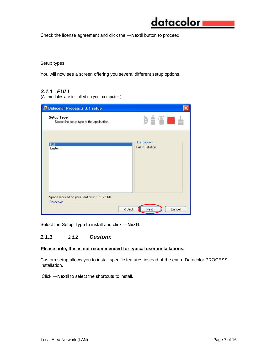

Check the license agreement and click the ―**Next**‖ button to proceed.

Setup types

You will now see a screen offering you several different setup options.

#### *3.1.1 FULL*

(All modules are installed on your computer.)

| Setup Type<br>Select the setup type of the application.  | D A THE                                  |
|----------------------------------------------------------|------------------------------------------|
| Full<br>Custom                                           | <b>Description</b><br>Full installation. |
| Space required on your hard disk: 169175 KB<br>Datacolor |                                          |

Select the Setup Type to install and click ―**Next**‖.

#### *1.1.1 3.1.2 Custom:*

#### **Please note, this is not recommended for typical user installations.**

Custom setup allows you to install specific features instead of the entire Datacolor PROCESS installation.

Click ―**Next**‖ to select the shortcuts to install.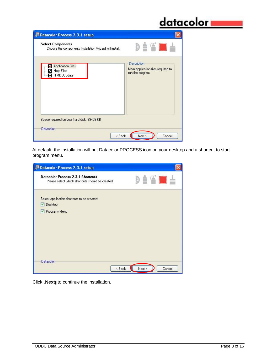## <u>datacolor www.</u>

| <b>Select Components</b><br>Choose the components Installation Wizard will install. | $\triangle$ $\triangle$ $\blacksquare$ $\triangle$                   |
|-------------------------------------------------------------------------------------|----------------------------------------------------------------------|
| <b>Application Files</b><br><b>Help Files</b><br>M<br><b>ITMDbUpdate</b>            | Description<br>Main application files required to<br>run the program |
| Space required on your hard disk: 99409 KB<br>Datacolor                             |                                                                      |

At default, the installation will put Datacolor PROCESS icon on your desktop and a shortcut to start program menu.

| <b>Datacolor Process 2.3.1 setup</b>                                                        |             |        |
|---------------------------------------------------------------------------------------------|-------------|--------|
| <b>Datacolor Process 2.3.1 Shortcuts</b><br>Please select which shortcuts should be created | <b>ATTL</b> |        |
| Select application shortcuts to be created:<br>Desktop                                      |             |        |
| Programs Menu                                                                               |             |        |
|                                                                                             |             |        |
|                                                                                             |             |        |
| Datacolor                                                                                   |             |        |
| < Back                                                                                      | Next >      | Cancel |

Click ―**Next**‖ to continue the installation.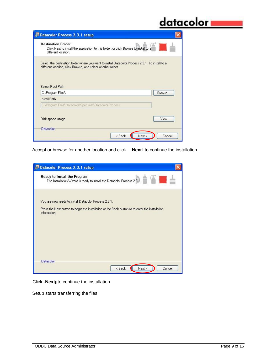## <u>datacolor www.</u>

| <b>Destination Folder</b><br>Click Next to install the application to this folder, or click Browse to install to a<br>different location.                                            |        |
|--------------------------------------------------------------------------------------------------------------------------------------------------------------------------------------|--------|
| Select the destination folder where you want to install Datacolor Process 2.3.1. To install to a<br>different location, click Browse, and select another folder.<br>Select Boot Path |        |
| C:\Program Files\                                                                                                                                                                    | Browse |
|                                                                                                                                                                                      |        |
| <b>Install Path</b>                                                                                                                                                                  |        |
| C:\Program Files\Datacolor\Spectrum\Datacolor Process                                                                                                                                |        |
| Disk space usage                                                                                                                                                                     | View   |

Accept or browse for another location and click ―**Next**‖ to continue the installation.

|           | <b>Datacolor Process 2.3.1 setup</b>                                                                             |
|-----------|------------------------------------------------------------------------------------------------------------------|
|           | Ready to Install the Program<br>mar.<br>The Installation Wizard is ready to install the Datacolor Process 2.3.1. |
|           | You are now ready to install Datacolor Process 2.3.1.                                                            |
|           | Press the Next button to begin the installation or the Back button to re-enter the installation<br>information.  |
|           |                                                                                                                  |
|           |                                                                                                                  |
|           |                                                                                                                  |
|           |                                                                                                                  |
| Datacolor |                                                                                                                  |
|           | Next ><br>< Back<br>Cancel                                                                                       |

Click ―**Next**‖ to continue the installation.

Setup starts transferring the files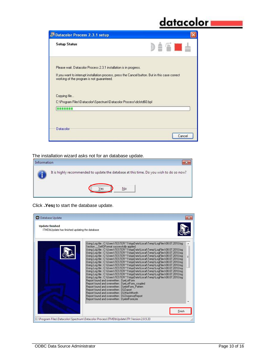## <u>datacolor</u>

| <b>Setup Status</b>                                                | DIATUL                                                                                           |
|--------------------------------------------------------------------|--------------------------------------------------------------------------------------------------|
| Please wait. Datacolor Process 2.3.1 installation is in progress.  |                                                                                                  |
| working of the program is not guaranteed.                          | If you want to interrupt installation process, press the Cancel button. But in this case correct |
| Copying file                                                       |                                                                                                  |
| C:\Program Files\Datacolor\Spectrum\Datacolor Process\dclstd60.bpl |                                                                                                  |
| ----                                                               |                                                                                                  |
|                                                                    |                                                                                                  |
|                                                                    |                                                                                                  |
|                                                                    |                                                                                                  |

The installation wizard asks not for an database update.

| Information |                                                                                         |
|-------------|-----------------------------------------------------------------------------------------|
|             | It is highly recommended to update the database at this time. Do you wish to do so now? |
|             | <br>Nο<br>,,,,,,,,,,,,,,,,,,,,,,,,,,,,,                                                 |

Click ―**Yes**‖ to start the database update.

| Database Update<br><b>Update finished</b><br>ITMDbUpdate has finished updating the database                                                                                                                                                                                                                                                                                                                                                                                                                                                                                                                                                                                                                                                                                                                                                                                                                                                                                                                                                                                                                                                                                                                                                                                                                           |        |
|-----------------------------------------------------------------------------------------------------------------------------------------------------------------------------------------------------------------------------------------------------------------------------------------------------------------------------------------------------------------------------------------------------------------------------------------------------------------------------------------------------------------------------------------------------------------------------------------------------------------------------------------------------------------------------------------------------------------------------------------------------------------------------------------------------------------------------------------------------------------------------------------------------------------------------------------------------------------------------------------------------------------------------------------------------------------------------------------------------------------------------------------------------------------------------------------------------------------------------------------------------------------------------------------------------------------------|--------|
| Using Log file : C:\Users\TESTER^1\AppData\Local\Temp\LogFiles\08.07.2010.log<br>Section SetIOFormat successfully applied.<br>Using Log file : C:\Users\TESTER^1\AppData\Local\Temp\LogFiles\08.07.2010.log<br>Using Log file : C:\Users\TESTER^1\AppData\Local\Temp\LogFiles\08.07.2010.log<br>Using Log file : C:\Users\TESTER~1\AppData\Local\Temp\LogFiles\08.07.2010.log<br>Using Log file : C:\Users\TESTER^1\AppData\Local\Temp\LogFiles\08.07.2010.log<br>Using Log file : C:\Users\TESTER^1\AppData\Local\Temp\LogFiles\08.07.2010.log<br>Using Log file : C:\Users\TESTER~1\AppData\Local\Temp\LogFiles\08.07.2010.log<br>Using Log file : C:\Users\TESTER^1\AppData\Local\Temp\LogFiles\08.07.2010.log<br>Using Log file : C:\Users\TESTER^1\AppData\Local\Temp\LogFiles\08.07.2010.log<br>Using Log file : C:\Users\TESTER^1\AppData\Local\Temp\LogFiles\08.07.2010.log<br>Using Log file : C:\Users\TESTER^1\AppData\Local\Temp\LogFiles\08.07.2010.log<br>Report found and overwritten : DyeLotForm<br>Report found and overwritten : DyeLotForm coupled<br>Report found and overwritten: DyelotForm Pattern<br>Report found and overwritten: DLExport<br>Report found and overwritten: DLMachMonth<br>Report found and overwritten : DLDispenseReport<br>Report found and overwritten : DyelotFormLite | Finish |
| C:\Program Files\Datacolor\Spectrum\Datacolor Process\ITMDbUpdate\ITI\Version 2.0.5.33                                                                                                                                                                                                                                                                                                                                                                                                                                                                                                                                                                                                                                                                                                                                                                                                                                                                                                                                                                                                                                                                                                                                                                                                                                |        |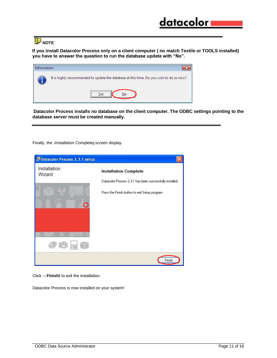**NOTE** 

**If you install Datacolor Process only on a client computer ( no match Textile or TOOLS installed) you have to answer the question to run the database update with "No".** 

| Information |                                                                                                                                  |
|-------------|----------------------------------------------------------------------------------------------------------------------------------|
|             | It is highly recommended to update the database at this time. Do you wish to do so now?<br>,,,,,,,,,,,,,,,,,,,,,,,,,,,,,,,,,<br> |
|             |                                                                                                                                  |

**Datacolor Process installs no database on the client computer. The ODBC settings pointing to the database server must be created manually.**

Finally, the Jnstallation Complete screen display.

| <b>Datacolor Process 2.3.1 setup</b> |                                                          |
|--------------------------------------|----------------------------------------------------------|
| Installation<br>Wizard               | <b>Installation Complete</b>                             |
|                                      | Datacolor Process 2.3.1 has been successfully installed. |
| ∩                                    | Press the Finish button to exit Setup program.           |
|                                      |                                                          |
| <b>To HE</b>                         |                                                          |
|                                      | Finish                                                   |

Click ―**Finish**‖ to exit the installation.

Datacolor Process is now installed on your system!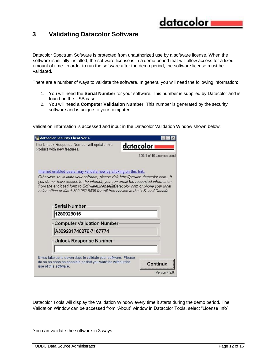#### <span id="page-11-0"></span>**3 Validating Datacolor Software**

Datacolor Spectrum Software is protected from unauthorized use by a software license. When the software is initially installed, the software license is in a demo period that will allow access for a fixed amount of time. In order to run the software after the demo period, the software license must be validated.

There are a number of ways to validate the software. In general you will need the following information:

- 1. You will need the **Serial Number** for your software. This number is supplied by Datacolor and is found on the USB case.
- 2. You will need a **Computer Validation Number**. This number is generated by the security software and is unique to your computer.

Validation information is accessed and input in the Datacolor Validation Window shown below:

| datacolor Security Client Ver 4                                                                                                                                                                                                                                                                                                          |                           |
|------------------------------------------------------------------------------------------------------------------------------------------------------------------------------------------------------------------------------------------------------------------------------------------------------------------------------------------|---------------------------|
| The Unlock Response Number will update this<br>product with new features.                                                                                                                                                                                                                                                                | datacolori                |
|                                                                                                                                                                                                                                                                                                                                          | 300:1 of 10 Licenses used |
| Internet enabled users may validate now by clicking on this link.                                                                                                                                                                                                                                                                        |                           |
| Otherwise, to validate your software, please visit http://pmweb.datacolor.com. If<br>you do not have access to the internet, you can email the requested information<br>from the enclosed form to SoftwareLicense@Datacolor.com or phone your local<br>sales office or dial 1-800-982-6496 for toll free service in the U.S. and Canada. |                           |
| <b>Serial Number</b>                                                                                                                                                                                                                                                                                                                     |                           |
| 1280928015                                                                                                                                                                                                                                                                                                                               |                           |
| <b>Computer Validation Number</b>                                                                                                                                                                                                                                                                                                        |                           |
| A309281740279-7167774                                                                                                                                                                                                                                                                                                                    |                           |
| Unlock Response Number                                                                                                                                                                                                                                                                                                                   |                           |
|                                                                                                                                                                                                                                                                                                                                          |                           |
| It may take up to seven days to validate your software. Please<br>do so as soon as possible so that you won't be without the                                                                                                                                                                                                             |                           |

Datacolor Tools will display the Validation Window every time it starts during the demo period. The Validation Window can be accessed from "About" window in Datacolor Tools, select "License Info".

You can validate the software in 3 ways: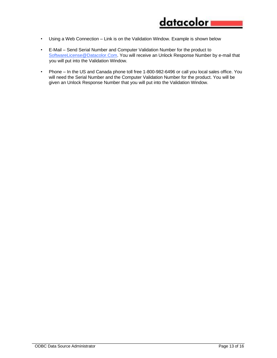- Using a Web Connection Link is on the Validation Window. Example is shown below
- E-Mail Send Serial Number and Computer Validation Number for the product to SoftwareLicense@Datacolor.Com. You will receive an Unlock Response Number by e-mail that you will put into the Validation Window.
- Phone In the US and Canada phone toll free 1-800-982-6496 or call you local sales office. You will need the Serial Number and the Computer Validation Number for the product. You will be given an Unlock Response Number that you will put into the Validation Window.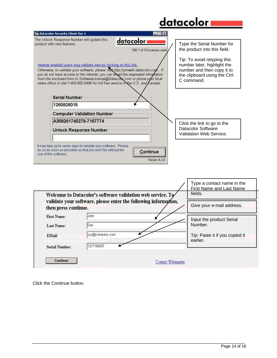## <u>datacolor</u>

 $\mathsf{r}$ 

| datacolor Security Client Ver 4                                                                                                                                                                                                                                                                                                                                                                                                                                                                                                         |                                           |                                                                                                                                                                                                       |
|-----------------------------------------------------------------------------------------------------------------------------------------------------------------------------------------------------------------------------------------------------------------------------------------------------------------------------------------------------------------------------------------------------------------------------------------------------------------------------------------------------------------------------------------|-------------------------------------------|-------------------------------------------------------------------------------------------------------------------------------------------------------------------------------------------------------|
| The Unlock Response Number will update this<br>product with new features.<br>Internet enabled users may validate now by clicking on this link.<br>Otherwise, to validate your software, please visit http://pmweb.datacolor.com. If<br>you do not have access to the internet, you can electil the requested information<br>from the enclosed form to SoftwareLicense@Datacolox com or phone your local<br>sales office or dial 1-800-982-6496 for toll free service in the U.S. and $\mathcal L$ anada.<br>Serial Number<br>1280928015 | datacolor i<br>300: 1 of 10 Licenses used | Type the Serial Number for<br>the product into this field.<br>Tip: To avoid retyping this<br>number later, highlight the<br>number and then copy it to<br>the clipboard using the Ctrl-<br>C command. |
| <b>Computer Validation Number</b>                                                                                                                                                                                                                                                                                                                                                                                                                                                                                                       |                                           |                                                                                                                                                                                                       |
| A309281740279-7167774<br><b>Unlock Response Number</b>                                                                                                                                                                                                                                                                                                                                                                                                                                                                                  |                                           | Click the link to go to the<br>Datacolor Software<br>Validation Web Service.                                                                                                                          |
| It may take up to seven days to validate your software. Please<br>do so as soon as possible so that you won't be without the<br>use of this software.                                                                                                                                                                                                                                                                                                                                                                                   | Continue<br>Version 4.2.0                 |                                                                                                                                                                                                       |

|                       |                                                                                                                               | Type a contact name in the<br><b>First Name and Last Name</b> |
|-----------------------|-------------------------------------------------------------------------------------------------------------------------------|---------------------------------------------------------------|
|                       | Welcome to Datacolor's software validation web service. To<br>validate your software, please enter the following information, | fields.                                                       |
| then press continue.  |                                                                                                                               | Give your e-mail address.                                     |
| First Name:           | John                                                                                                                          | Input the product Serial                                      |
| Last Name:            | Doe                                                                                                                           | Number.                                                       |
| EMail:                | xyz@company.com                                                                                                               | Tip: Paste it if you copied it<br>earlier.                    |
| <b>Serial Number:</b> | 1217185437                                                                                                                    |                                                               |

Click the Continue button.

٦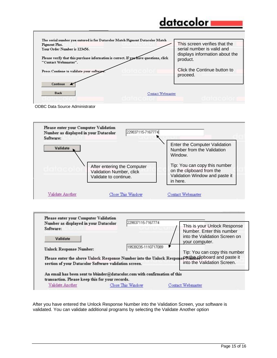## datacolor

| <b>Pigment Plus.</b>                                                                  |                   | This screen verifies that the                                |
|---------------------------------------------------------------------------------------|-------------------|--------------------------------------------------------------|
| <b>Your Order Number is 123456.</b>                                                   |                   | serial number is valid and<br>displays information about the |
| Please verify that this purchase information is correct. If you have questions, click |                   | product.                                                     |
| "Contact Webmaster".                                                                  |                   |                                                              |
| Press Continue to validate your software.                                             |                   | Click the Continue button to                                 |
|                                                                                       |                   | proceed.                                                     |
| <b>Continue</b>                                                                       |                   |                                                              |
|                                                                                       |                   |                                                              |
| <b>Back</b>                                                                           | Contact Webmaster |                                                              |

ODBC Data Source Administrator





After you have entered the Unlock Response Number into the Validation Screen, your software is validated. You can validate additional programs by selecting the Validate Another option